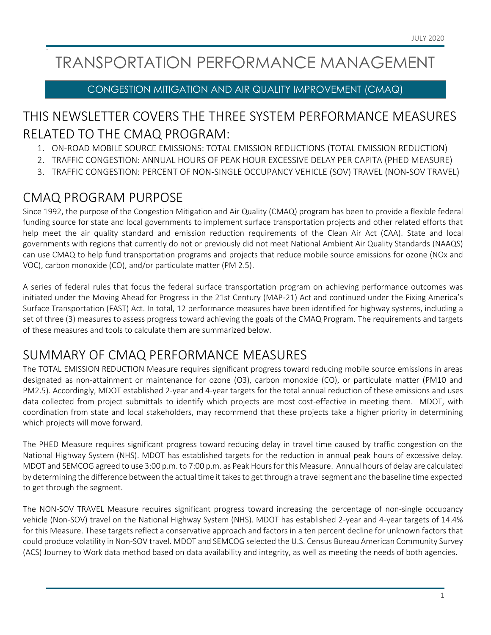# TRANSPORTATION PERFORMANCE MANAGEMENT

#### CONGESTION MITIGATION AND AIR QUALITY IMPROVEMENT (CMAQ)

## THIS NEWSLETTER COVERS THE THREE SYSTEM PERFORMANCE MEASURES RELATED TO THE CMAQ PROGRAM:

- 1. ON-ROAD MOBILE SOURCE EMISSIONS: TOTAL EMISSION REDUCTIONS (TOTAL EMISSION REDUCTION)
- 2. TRAFFIC CONGESTION: ANNUAL HOURS OF PEAK HOUR EXCESSIVE DELAY PER CAPITA (PHED MEASURE)
- 3. TRAFFIC CONGESTION: PERCENT OF NON-SINGLE OCCUPANCY VEHICLE (SOV) TRAVEL (NON-SOV TRAVEL)

## CMAQ PROGRAM PURPOSE

Since 1992, the purpose of the Congestion Mitigation and Air Quality (CMAQ) program has been to provide a flexible federal funding source for state and local governments to implement surface transportation projects and other related efforts that help meet the air quality standard and emission reduction requirements of the Clean Air Act (CAA). State and local governments with regions that currently do not or previously did not meet National Ambient Air Quality Standards (NAAQS) can use CMAQ to help fund transportation programs and projects that reduce mobile source emissions for ozone (NOx and VOC), carbon monoxide (CO), and/or particulate matter (PM 2.5).

A series of federal rules that focus the federal surface transportation program on achieving performance outcomes was initiated under the Moving Ahead for Progress in the 21st Century (MAP-21) Act and continued under the Fixing America's Surface Transportation (FAST) Act. In total, 12 performance measures have been identified for highway systems, including a set of three (3) measures to assess progress toward achieving the goals of the CMAQ Program. The requirements and targets of these measures and tools to calculate them are summarized below.

## SUMMARY OF CMAQ PERFORMANCE MEASURES

The TOTAL EMISSION REDUCTION Measure requires significant progress toward reducing mobile source emissions in areas designated as non-attainment or maintenance for ozone (O3), carbon monoxide (CO), or particulate matter (PM10 and PM2.5). Accordingly, MDOT established 2-year and 4-year targets for the total annual reduction of these emissions and uses data collected from project submittals to identify which projects are most cost-effective in meeting them. MDOT, with coordination from state and local stakeholders, may recommend that these projects take a higher priority in determining which projects will move forward.

The PHED Measure requires significant progress toward reducing delay in travel time caused by traffic congestion on the National Highway System (NHS). MDOT has established targets for the reduction in annual peak hours of excessive delay. MDOT and SEMCOG agreed to use 3:00 p.m. to 7:00 p.m. as Peak Hours for this Measure. Annual hours of delay are calculated by determining the difference between the actual time it takes to get through a travel segment and the baseline time expected to get through the segment.

The NON-SOV TRAVEL Measure requires significant progress toward increasing the percentage of non-single occupancy vehicle (Non-SOV) travel on the National Highway System (NHS). MDOT has established 2-year and 4-year targets of 14.4% for this Measure. These targets reflect a conservative approach and factors in a ten percent decline for unknown factors that could produce volatility in Non-SOV travel. MDOT and SEMCOG selected the U.S. Census Bureau American Community Survey (ACS) Journey to Work data method based on data availability and integrity, as well as meeting the needs of both agencies.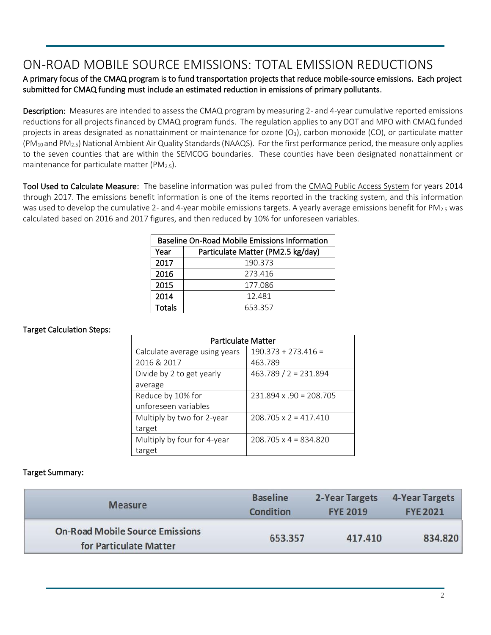### ON-ROAD MOBILE SOURCE EMISSIONS: TOTAL EMISSION REDUCTIONS

#### A primary focus of the CMAQ program is to fund transportation projects that reduce mobile-source emissions. Each project submitted for CMAQ funding must include an estimated reduction in emissions of primary pollutants.

Description: Measures are intended to assess the CMAQ program by measuring 2- and 4-year cumulative reported emissions reductions for all projects financed by CMAQ program funds. The regulation applies to any DOT and MPO with CMAQ funded projects in areas designated as nonattainment or maintenance for ozone  $(O_3)$ , carbon monoxide (CO), or particulate matter  $(PM_{10}$  and  $PM_{2.5}$ ) National Ambient Air Quality Standards (NAAQS). For the first performance period, the measure only applies to the seven counties that are within the SEMCOG boundaries. These counties have been designated nonattainment or maintenance for particulate matter (PM<sub>2.5</sub>).

Tool Used to Calculate Measure: The baseline information was pulled from the [CMAQ Public Access System](https://fhwaapps.fhwa.dot.gov/cmaq_pub/) for years 2014 through 2017. The emissions benefit information is one of the items reported in the tracking system, and this information was used to develop the cumulative 2- and 4-year mobile emissions targets. A yearly average emissions benefit for PM<sub>2.5</sub> was calculated based on 2016 and 2017 figures, and then reduced by 10% for unforeseen variables.

| Baseline On-Road Mobile Emissions Information |                                   |  |  |
|-----------------------------------------------|-----------------------------------|--|--|
| Year                                          | Particulate Matter (PM2.5 kg/day) |  |  |
| 2017                                          | 190.373                           |  |  |
| 2016                                          | 273.416                           |  |  |
| 2015                                          | 177.086                           |  |  |
| 2014                                          | 12.481                            |  |  |
| <b>Totals</b>                                 | 653.357                           |  |  |

#### Target Calculation Steps:

| <b>Particulate Matter</b>     |                               |  |  |
|-------------------------------|-------------------------------|--|--|
| Calculate average using years | $190.373 + 273.416 =$         |  |  |
| 2016 & 2017                   | 463.789                       |  |  |
| Divide by 2 to get yearly     | $463.789 / 2 = 231.894$       |  |  |
| average                       |                               |  |  |
| Reduce by 10% for             | $231.894 \times 90 = 208.705$ |  |  |
| unforeseen variables          |                               |  |  |
| Multiply by two for 2-year    | $208.705 \times 2 = 417.410$  |  |  |
| target                        |                               |  |  |
| Multiply by four for 4-year   | $208.705 \times 4 = 834.820$  |  |  |
| target                        |                               |  |  |

#### Target Summary:

| <b>Measure</b>                                                   | <b>Baseline</b> | 2-Year Targets  | 4-Year Targets  |
|------------------------------------------------------------------|-----------------|-----------------|-----------------|
|                                                                  | Condition       | <b>FYE 2019</b> | <b>FYE 2021</b> |
| <b>On-Road Mobile Source Emissions</b><br>for Particulate Matter | 653.357         | 417.410         | 834.820         |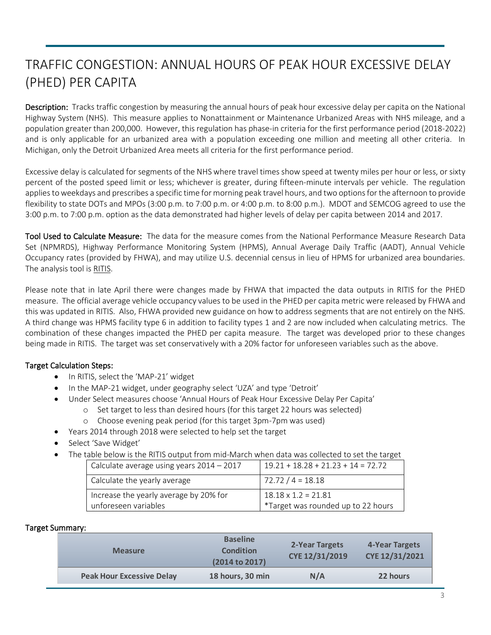## TRAFFIC CONGESTION: ANNUAL HOURS OF PEAK HOUR EXCESSIVE DELAY (PHED) PER CAPITA

Description: Tracks traffic congestion by measuring the annual hours of peak hour excessive delay per capita on the National Highway System (NHS). This measure applies to Nonattainment or Maintenance Urbanized Areas with NHS mileage, and a population greater than 200,000. However, this regulation has phase-in criteria for the first performance period (2018-2022) and is only applicable for an urbanized area with a population exceeding one million and meeting all other criteria. In Michigan, only the Detroit Urbanized Area meets all criteria for the first performance period.

Excessive delay is calculated for segments of the NHS where travel times show speed at twenty miles per hour or less, or sixty percent of the posted speed limit or less; whichever is greater, during fifteen-minute intervals per vehicle. The regulation applies to weekdays and prescribes a specific time for morning peak travel hours, and two options for the afternoon to provide flexibility to state DOTs and MPOs (3:00 p.m. to 7:00 p.m. or 4:00 p.m. to 8:00 p.m.). MDOT and SEMCOG agreed to use the 3:00 p.m. to 7:00 p.m. option as the data demonstrated had higher levels of delay per capita between 2014 and 2017.

Tool Used to Calculate Measure: The data for the measure comes from the National Performance Measure Research Data Set (NPMRDS), Highway Performance Monitoring System (HPMS), Annual Average Daily Traffic (AADT), Annual Vehicle Occupancy rates (provided by FHWA), and may utilize U.S. decennial census in lieu of HPMS for urbanized area boundaries. The analysis tool i[s RITIS.](https://michigan.ritis.org/analytics/)

Please note that in late April there were changes made by FHWA that impacted the data outputs in RITIS for the PHED measure. The official average vehicle occupancy values to be used in the PHED per capita metric were released by FHWA and this was updated in RITIS. Also, FHWA provided new guidance on how to address segments that are not entirely on the NHS. A third change was HPMS facility type 6 in addition to facility types 1 and 2 are now included when calculating metrics. The combination of these changes impacted the PHED per capita measure. The target was developed prior to these changes being made in RITIS. The target was set conservatively with a 20% factor for unforeseen variables such as the above.

#### Target Calculation Steps:

- In RITIS, select the 'MAP-21' widget
- In the MAP-21 widget, under geography select 'UZA' and type 'Detroit'
- Under Select measures choose 'Annual Hours of Peak Hour Excessive Delay Per Capita'
	- o Set target to less than desired hours (for this target 22 hours was selected)
	- o Choose evening peak period (for this target 3pm-7pm was used)
- Years 2014 through 2018 were selected to help set the target
- Select 'Save Widget'
- The table below is the RITIS output from mid-March when data was collected to set the target

| Calculate average using years $2014 - 2017$                    | $19.21 + 18.28 + 21.23 + 14 = 72.72$                             |
|----------------------------------------------------------------|------------------------------------------------------------------|
| Calculate the yearly average                                   | $72.72 / 4 = 18.18$                                              |
| Increase the yearly average by 20% for<br>unforeseen variables | $18.18 \times 1.2 = 21.81$<br>*Target was rounded up to 22 hours |

#### Target Summary:

| <b>Measure</b>                   | <b>Baseline</b><br><b>Condition</b><br>(2014 to 2017) | 2-Year Targets<br>CYE 12/31/2019 | 4-Year Targets<br>CYE 12/31/2021 |
|----------------------------------|-------------------------------------------------------|----------------------------------|----------------------------------|
| <b>Peak Hour Excessive Delay</b> | 18 hours, 30 min                                      | N/A                              | 22 hours                         |